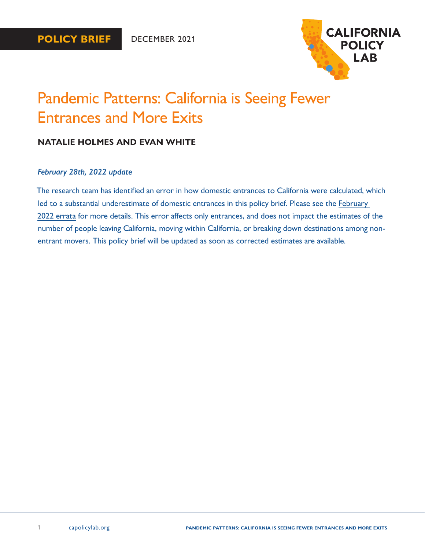

# Pandemic Patterns: California is Seeing Fewer Entrances and More Exits

### **NATALIE HOLMES AND EVAN WHITE**

### *February 28th, 2022 update*

The research team has identified an error in how domestic entrances to California were calculated, which led to a substantial underestimate of domestic entrances in this policy brief. Please see the [February](https://www.capolicylab.org/wp-content/uploads/2022/02/California-Policy-Lab-February-2022-Errata.pdf)  [2022 errata](https://www.capolicylab.org/wp-content/uploads/2022/02/California-Policy-Lab-February-2022-Errata.pdf) for more details. This error affects only entrances, and does not impact the estimates of the number of people leaving California, moving within California, or breaking down destinations among nonentrant movers. This policy brief will be updated as soon as corrected estimates are available.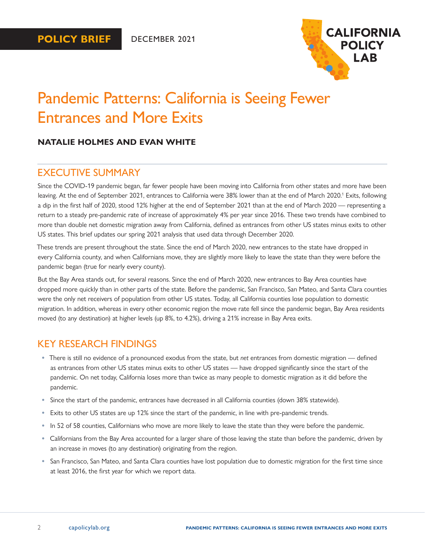

# <span id="page-1-0"></span>Pandemic Patterns: California is Seeing Fewer Entrances and More Exits

### **NATALIE HOLMES AND EVAN WHITE**

### EXECUTIVE SUMMARY

Since the COVID-19 pandemic began, far fewer people have been moving into California from other states and more have been leaving. At the end of September 202[1](#page-12-0), entrances to California were 38% lower than at the end of March 2020.<sup>1</sup> Exits, following a dip in the first half of 2020, stood 12% higher at the end of September 2021 than at the end of March 2020 — representing a return to a steady pre-pandemic rate of increase of approximately 4% per year since 2016. These two trends have combined to more than double net domestic migration away from California, defined as entrances from other US states minus exits to other US states. This brief updates our spring 2021 analysis that used data through December 2020.

These trends are present throughout the state. Since the end of March 2020, new entrances to the state have dropped in every California county, and when Californians move, they are slightly more likely to leave the state than they were before the pandemic began (true for nearly every county).

But the Bay Area stands out, for several reasons. Since the end of March 2020, new entrances to Bay Area counties have dropped more quickly than in other parts of the state. Before the pandemic, San Francisco, San Mateo, and Santa Clara counties were the only net receivers of population from other US states. Today, all California counties lose population to domestic migration. In addition, whereas in every other economic region the move rate fell since the pandemic began, Bay Area residents moved (to any destination) at higher levels (up 8%, to 4.2%), driving a 21% increase in Bay Area exits.

### KEY RESEARCH FINDINGS

- **•** There is still no evidence of a pronounced exodus from the state, but *net* entrances from domestic migration defined as entrances from other US states minus exits to other US states — have dropped significantly since the start of the pandemic. On net today, California loses more than twice as many people to domestic migration as it did before the pandemic.
- **•** Since the start of the pandemic, entrances have decreased in all California counties (down 38% statewide).
- **•** Exits to other US states are up 12% since the start of the pandemic, in line with pre-pandemic trends.
- **•** In 52 of 58 counties, Californians who move are more likely to leave the state than they were before the pandemic.
- **•** Californians from the Bay Area accounted for a larger share of those leaving the state than before the pandemic, driven by an increase in moves (to any destination) originating from the region.
- **•** San Francisco, San Mateo, and Santa Clara counties have lost population due to domestic migration for the first time since at least 2016, the first year for which we report data.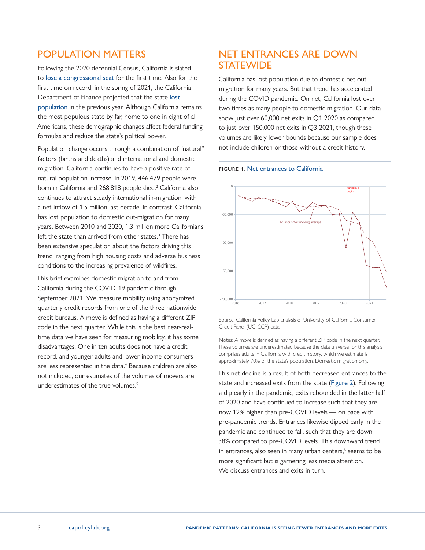# <span id="page-2-0"></span>POPULATION MATTERS

Following the 2020 decennial Census, California is slated to [lose a congressional seat](https://calmatters.org/politics/2021/04/california-congress-census/) for the first time. Also for the first time on record, in the spring of 2021, the California Department of Finance projected that the state [lost](https://www.ppic.org/blog/californias-stalled-population-growth/)  [population](https://www.ppic.org/blog/californias-stalled-population-growth/) in the previous year. Although California remains the most populous state by far, home to one in eight of all Americans, these demographic changes affect federal funding formulas and reduce the state's political power.

Population change occurs through a combination of "natural" factors (births and deaths) and international and domestic migration. California continues to have a positive rate of natural population increase: in 2019, 446,479 people were born in California and [2](#page-12-0)68,818 people died.<sup>2</sup> California also continues to attract steady international in-migration, with a net inflow of 1.5 million last decade. In contrast, California has lost population to domestic out-migration for many years. Between 2010 and 2020, 1.3 million more Californians left the state than arrived from other states.<sup>[3](#page-12-0)</sup> There has been extensive speculation about the factors driving this trend, ranging from high housing costs and adverse business conditions to the increasing prevalence of wildfires.

This brief examines domestic migration to and from California during the COVID-19 pandemic through September 2021. We measure mobility using anonymized quarterly credit records from one of the three nationwide credit bureaus. A move is defined as having a different ZIP code in the next quarter. While this is the best near-realtime data we have seen for measuring mobility, it has some disadvantages. One in ten adults does not have a credit record, and younger adults and lower-income consumers are less represented in the data.<sup>4</sup> Because children are also not included, our estimates of the volumes of movers are underestimates of the true volumes.<sup>5</sup>

### NET ENTRANCES ARE DOWN **STATEWIDE**

California has lost population due to domestic net outmigration for many years. But that trend has accelerated during the COVID pandemic. On net, California lost over two times as many people to domestic migration. Our data show just over 60,000 net exits in Q1 2020 as compared to just over 150,000 net exits in Q3 2021, though these volumes are likely lower bounds because our sample does not include children or those without a credit history.





Source: California Policy Lab analysis of University of California Consumer Credit Panel (UC-CCP) data.

Notes: A move is defined as having a different ZIP code in the next quarter. These volumes are underestimated because the data universe for this analysis comprises adults in California with credit history, which we estimate is approximately 70% of the state's population. Domestic migration only.

This net decline is a result of both decreased entrances to the state and increased exits from the state (Figure 2). Following a dip early in the pandemic, exits rebounded in the latter half of 2020 and have continued to increase such that they are now 12% higher than pre-COVID levels — on pace with pre-pandemic trends. Entrances likewise dipped early in the pandemic and continued to fall, such that they are down 38% compared to pre-COVID levels. This downward trend in entrances, also seen in many urban centers,<sup>[6](#page-12-0)</sup> seems to be more significant but is garnering less media attention. We discuss entrances and exits in turn.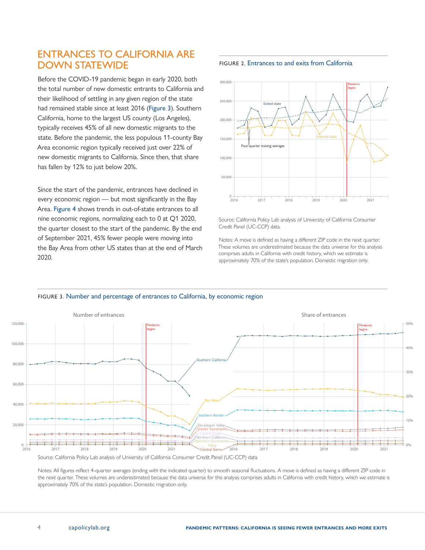### ENTRANCES TO CALIFORNIA ARE DOWN STATEWIDE

Before the COVID-19 pandemic began in early 2020, both the total number of new domestic entrants to California and their likelihood of settling in any given region of the state had remained stable since at least 2016 (Figure 3). Southern California, home to the largest US county (Los Angeles), typically receives 45% of all new domestic migrants to the state. Before the pandemic, the less populous 11-county Bay Area economic region typically received just over 22% of new domestic migrants to California. Since then, that share has fallen by 12% to just below 20%.

Since the start of the pandemic, entrances have declined in every economic region — but most significantly in the Bay Area. Figure 4 shows trends in out-of-state entrances to all nine economic regions, normalizing each to 0 at Q1 2020, the quarter closest to the start of the pandemic. By the end of September 2021, 45% fewer people were moving into the Bay Area from other US states than at the end of March 2020.





Source: California Policy Lab analysis of University of California Consumer Credit Panel (UC-CCP) data.

Notes: A move is defined as having a different ZIP code in the next quarter. These volumes are underestimated because the data universe for this analysis comprises adults in California with credit history, which we estimate is approximately 70% of the state's population. Domestic migration only.



#### FIGURE 3. Number and percentage of entrances to California, by economic region

Source: California Policy Lab analysis of University of California Consumer Credit Panel (UC-CCP) data.

Notes: All figures reflect 4-quarter averages (ending with the indicated quarter) to smooth seasonal fluctuations. A move is defined as having a different ZIP code in the next quarter. These volumes are underestimated because the data universe for this analysis comprises adults in California with credit history, which we estimate is approximately 70% of the state's population. Domestic migration only.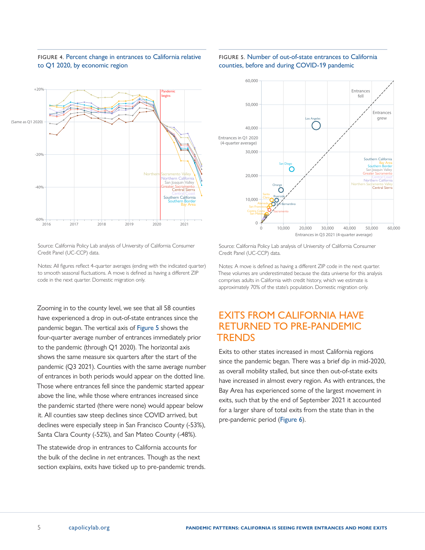### FIGURE 4. Percent change in entrances to California relative to Q1 2020, by economic region



#### FIGURE 5. Number of out-of-state entrances to California counties, before and during COVID-19 pandemic



Source: California Policy Lab analysis of University of California Consumer Credit Panel (UC-CCP) data.

Notes: All figures reflect 4-quarter averages (ending with the indicated quarter) to smooth seasonal fluctuations. A move is defined as having a different ZIP code in the next quarter. Domestic migration only.

Zooming in to the county level, we see that all 58 counties have experienced a drop in out-of-state entrances since the pandemic began. The vertical axis of Figure 5 shows the four-quarter average number of entrances immediately prior to the pandemic (through Q1 2020). The horizontal axis shows the same measure six quarters after the start of the pandemic (Q3 2021). Counties with the same average number of entrances in both periods would appear on the dotted line. Those where entrances fell since the pandemic started appear above the line, while those where entrances increased since the pandemic started (there were none) would appear below it. All counties saw steep declines since COVID arrived, but declines were especially steep in San Francisco County (-53%), Santa Clara County (-52%), and San Mateo County (-48%).

The statewide drop in entrances to California accounts for the bulk of the decline in *net* entrances. Though as the next section explains, exits have ticked up to pre-pandemic trends.

Source: California Policy Lab analysis of University of California Consumer Credit Panel (UC-CCP) data.

Notes: A move is defined as having a different ZIP code in the next quarter. These volumes are underestimated because the data universe for this analysis comprises adults in California with credit history, which we estimate is approximately 70% of the state's population. Domestic migration only.

# EXITS FROM CALIFORNIA HAVE RETURNED TO PRE-PANDEMIC TRENDS

Exits to other states increased in most California regions since the pandemic began. There was a brief dip in mid-2020, as overall mobility stalled, but since then out-of-state exits have increased in almost every region. As with entrances, the Bay Area has experienced some of the largest movement in exits, such that by the end of September 2021 it accounted for a larger share of total exits from the state than in the pre-pandemic period (Figure 6).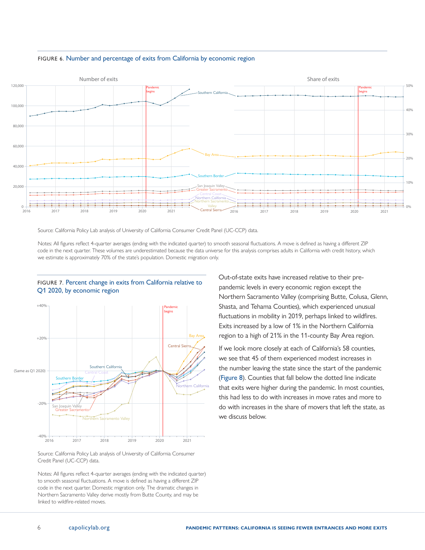

#### FIGURE 6. Number and percentage of exits from California by economic region

Source: California Policy Lab analysis of University of California Consumer Credit Panel (UC-CCP) data.

Notes: All figures reflect 4-quarter averages (ending with the indicated quarter) to smooth seasonal fluctuations. A move is defined as having a different ZIP code in the next quarter. These volumes are underestimated because the data universe for this analysis comprises adults in California with credit history, which we estimate is approximately 70% of the state's population. Domestic migration only.



#### FIGURE 7. Percent change in exits from California relative to Q1 2020, by economic region

Source: California Policy Lab analysis of University of California Consumer Credit Panel (UC-CCP) data.

Notes: All figures reflect 4-quarter averages (ending with the indicated quarter) to smooth seasonal fluctuations. A move is defined as having a different ZIP code in the next quarter. Domestic migration only. The dramatic changes in Northern Sacramento Valley derive mostly from Butte County, and may be linked to wildfire-related moves.

Out-of-state exits have increased relative to their prepandemic levels in every economic region except the Northern Sacramento Valley (comprising Butte, Colusa, Glenn, Shasta, and Tehama Counties), which experienced unusual fluctuations in mobility in 2019, perhaps linked to wildfires. Exits increased by a low of 1% in the Northern California region to a high of 21% in the 11-county Bay Area region.

If we look more closely at each of California's 58 counties, we see that 45 of them experienced modest increases in the number leaving the state since the start of the pandemic (Figure 8). Counties that fall below the dotted line indicate that exits were higher during the pandemic. In most counties, this had less to do with increases in move rates and more to do with increases in the share of movers that left the state, as we discuss below.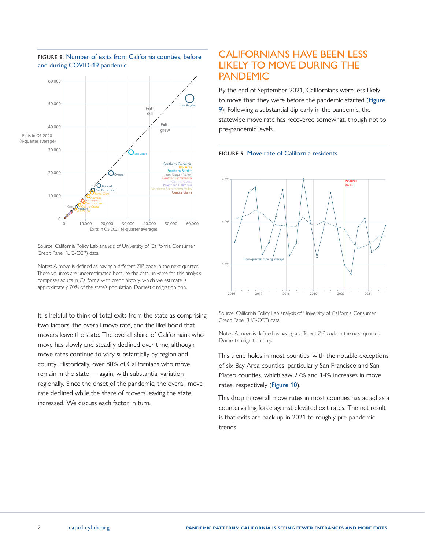

#### FIGURE 8. Number of exits from California counties, before and during COVID-19 pandemic

Source: California Policy Lab analysis of University of California Consumer Credit Panel (UC-CCP) data.

Notes: A move is defined as having a different ZIP code in the next quarter. These volumes are underestimated because the data universe for this analysis comprises adults in California with credit history, which we estimate is approximately 70% of the state's population. Domestic migration only.

It is helpful to think of total exits from the state as comprising two factors: the overall move rate, and the likelihood that movers leave the state. The overall share of Californians who move has slowly and steadily declined over time, although move rates continue to vary substantially by region and county. Historically, over 80% of Californians who move remain in the state — again, with substantial variation regionally. Since the onset of the pandemic, the overall move rate declined while the share of movers leaving the state increased. We discuss each factor in turn.

### CALIFORNIANS HAVE BEEN LESS LIKELY TO MOVE DURING THE PANDEMIC

By the end of September 2021, Californians were less likely to move than they were before the pandemic started (Figure 9). Following a substantial dip early in the pandemic, the statewide move rate has recovered somewhat, though not to pre-pandemic levels.





Source: California Policy Lab analysis of University of California Consumer Credit Panel (UC-CCP) data.

Notes: A move is defined as having a different ZIP code in the next quarter.. Domestic migration only.

This trend holds in most counties, with the notable exceptions of six Bay Area counties, particularly San Francisco and San Mateo counties, which saw 27% and 14% increases in move rates, respectively (Figure 10).

This drop in overall move rates in most counties has acted as a countervailing force against elevated exit rates. The net result is that exits are back up in 2021 to roughly pre-pandemic trends.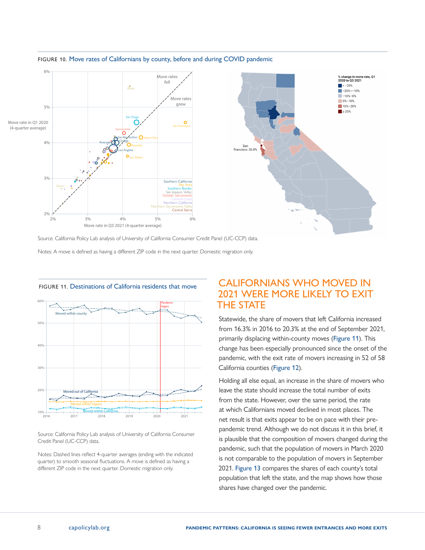

#### FIGURE 10. Move rates of Californians by county, before and during COVID pandemic

Source: California Policy Lab analysis of University of California Consumer Credit Panel (UC-CCP) data.

Notes: A move is defined as having a different ZIP code in the next quarter. Domestic migration only.



FIGURE 11. Destinations of California residents that move

Source: California Policy Lab analysis of University of California Consumer Credit Panel (UC-CCP) data.

Notes: Dashed lines reflect 4-quarter averages (ending with the indicated quarter) to smooth seasonal fluctuations. A move is defined as having a different ZIP code in the next quarter. Domestic migration only.

# CALIFORNIANS WHO MOVED IN 2021 WERE MORE LIKELY TO EXIT THE STATE

Statewide, the share of movers that left California increased from 16.3% in 2016 to 20.3% at the end of September 2021, primarily displacing within-county moves (Figure 11). This change has been especially pronounced since the onset of the pandemic, with the exit rate of movers increasing in 52 of 58 California counties (Figure 12).

Holding all else equal, an increase in the share of movers who leave the state should increase the total number of exits from the state. However, over the same period, the rate at which Californians moved declined in most places. The net result is that exits appear to be on pace with their prepandemic trend. Although we do not discuss it in this brief, it is plausible that the composition of movers changed during the pandemic, such that the population of movers in March 2020 is not comparable to the population of movers in September 2021. Figure 13 compares the shares of each county's total population that left the state, and the map shows how those shares have changed over the pandemic.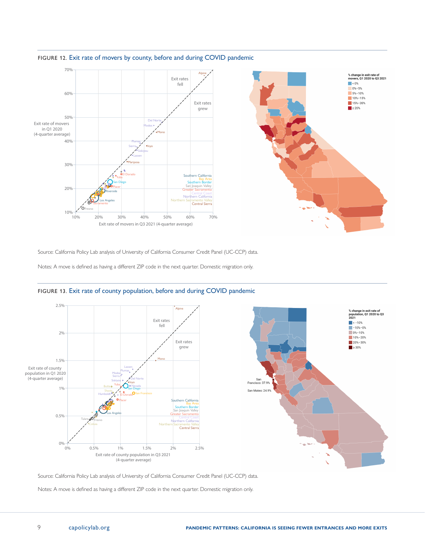

### FIGURE 12. Exit rate of movers by county, before and during COVID pandemic

Source: California Policy Lab analysis of University of California Consumer Credit Panel (UC-CCP) data.

Notes: A move is defined as having a different ZIP code in the next quarter. Domestic migration only.



#### FIGURE 13. Exit rate of county population, before and during COVID pandemic

Source: California Policy Lab analysis of University of California Consumer Credit Panel (UC-CCP) data.

Notes: A move is defined as having a different ZIP code in the next quarter. Domestic migration only.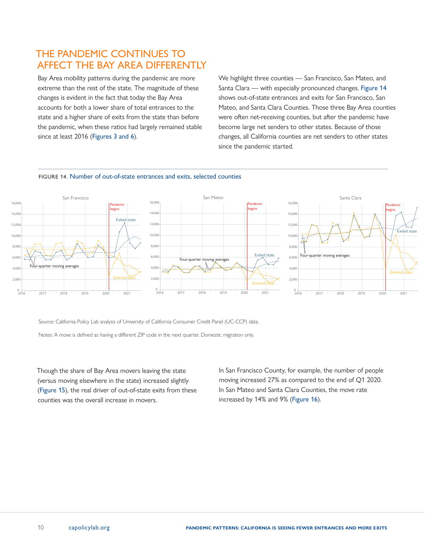# THE PANDEMIC CONTINUES TO AFFECT THE BAY AREA DIFFERENTLY

Bay Area mobility patterns during the pandemic are more extreme than the rest of the state. The magnitude of these changes is evident in the fact that today the Bay Area accounts for both a lower share of total entrances to the state and a higher share of exits from the state than before the pandemic, when these ratios had largely remained stable since at least 2016 (Figures 3 and 6).

We highlight three counties — San Francisco, San Mateo, and Santa Clara — with especially pronounced changes. Figure 14 shows out-of-state entrances and exits for San Francisco, San Mateo, and Santa Clara Counties. Those three Bay Area counties were often net-receiving counties, but after the pandemic have become large net senders to other states. Because of those changes, all California counties are net senders to other states since the pandemic started.



#### FIGURE 14. Number of out-of-state entrances and exits, selected counties

Source: California Policy Lab analysis of University of California Consumer Credit Panel (UC-CCP) data.

Notes: A move is defined as having a different ZIP code in the next quarter. Domestic migration only.

Though the share of Bay Area movers leaving the state (versus moving elsewhere in the state) increased slightly (Figure 15), the real driver of out-of-state exits from these counties was the overall increase in movers.

In San Francisco County, for example, the number of people moving increased 27% as compared to the end of Q1 2020. In San Mateo and Santa Clara Counties, the move rate increased by 14% and 9% (Figure 16).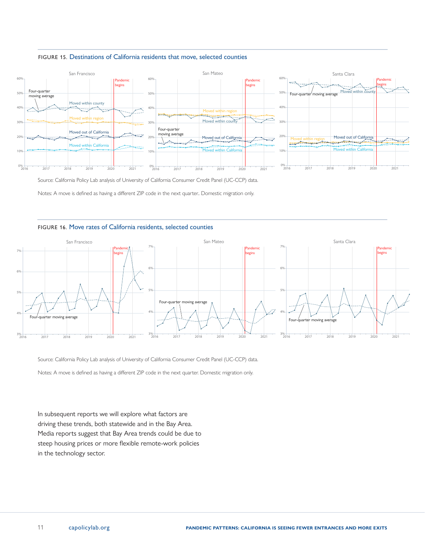



Source: California Policy Lab analysis of University of California Consumer Credit Panel (UC-CCP) data.

Notes: A move is defined as having a different ZIP code in the next quarter.. Domestic migration only.

#### FIGURE 16. Move rates of California residents, selected counties



Source: California Policy Lab analysis of University of California Consumer Credit Panel (UC-CCP) data.

Notes: A move is defined as having a different ZIP code in the next quarter. Domestic migration only.

In subsequent reports we will explore what factors are driving these trends, both statewide and in the Bay Area. Media reports suggest that Bay Area trends could be due to steep housing prices or more flexible remote-work policies in the technology sector.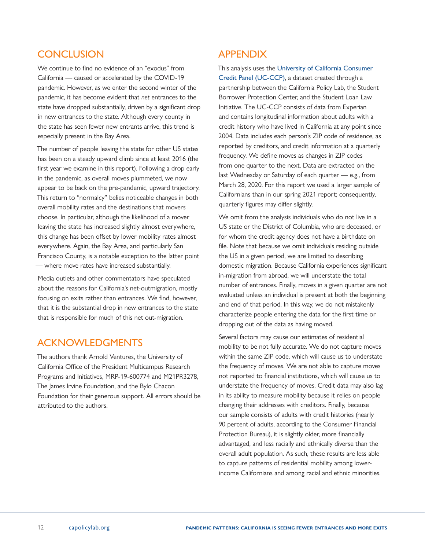# **CONCLUSION**

We continue to find no evidence of an "exodus" from California — caused or accelerated by the COVID-19 pandemic. However, as we enter the second winter of the pandemic, it has become evident that *net* entrances to the state have dropped substantially, driven by a significant drop in new entrances to the state. Although every county in the state has seen fewer new entrants arrive, this trend is especially present in the Bay Area.

The number of people leaving the state for other US states has been on a steady upward climb since at least 2016 (the first year we examine in this report). Following a drop early in the pandemic, as overall moves plummeted, we now appear to be back on the pre-pandemic, upward trajectory. This return to "normalcy" belies noticeable changes in both overall mobility rates and the destinations that movers choose. In particular, although the likelihood of a mover leaving the state has increased slightly almost everywhere, this change has been offset by lower mobility rates almost everywhere. Again, the Bay Area, and particularly San Francisco County, is a notable exception to the latter point — where move rates have increased substantially.

Media outlets and other commentators have speculated about the reasons for California's net-outmigration, mostly focusing on exits rather than entrances. We find, however, that it is the substantial drop in new entrances to the state that is responsible for much of this net out-migration.

# ACKNOWLEDGMENTS

The authors thank Arnold Ventures, the University of California Office of the President Multicampus Research Programs and Initiatives, MRP-19-600774 and M21PR3278, The James Irvine Foundation, and the Bylo Chacon Foundation for their generous support. All errors should be attributed to the authors.

# APPENDIX

This analysis uses the [University of California Consumer](https://www.capolicylab.org/data-resources/university-of-california-consumer-credit-panel/)  [Credit Panel \(UC-CCP\)](https://www.capolicylab.org/data-resources/university-of-california-consumer-credit-panel/), a dataset created through a partnership between the California Policy Lab, the Student Borrower Protection Center, and the Student Loan Law Initiative. The UC-CCP consists of data from Experian and contains longitudinal information about adults with a credit history who have lived in California at any point since 2004. Data includes each person's ZIP code of residence, as reported by creditors, and credit information at a quarterly frequency. We define moves as changes in ZIP codes from one quarter to the next. Data are extracted on the last Wednesday or Saturday of each quarter — e.g., from March 28, 2020. For this report we used a larger sample of Californians than in our spring 2021 report; consequently, quarterly figures may differ slightly.

We omit from the analysis individuals who do not live in a US state or the District of Columbia, who are deceased, or for whom the credit agency does not have a birthdate on file. Note that because we omit individuals residing outside the US in a given period, we are limited to describing domestic migration. Because California experiences significant in-migration from abroad, we will understate the total number of entrances. Finally, moves in a given quarter are not evaluated unless an individual is present at both the beginning and end of that period. In this way, we do not mistakenly characterize people entering the data for the first time or dropping out of the data as having moved.

Several factors may cause our estimates of residential mobility to be not fully accurate. We do not capture moves within the same ZIP code, which will cause us to understate the frequency of moves. We are not able to capture moves not reported to financial institutions, which will cause us to understate the frequency of moves. Credit data may also lag in its ability to measure mobility because it relies on people changing their addresses with creditors. Finally, because our sample consists of adults with credit histories (nearly 90 percent of adults, according to the Consumer Financial Protection Bureau), it is slightly older, more financially advantaged, and less racially and ethnically diverse than the overall adult population. As such, these results are less able to capture patterns of residential mobility among lowerincome Californians and among racial and ethnic minorities.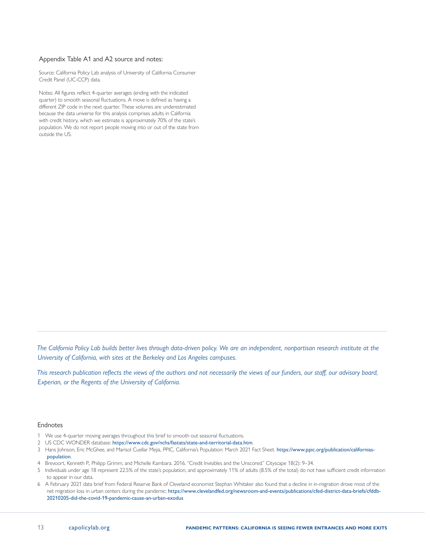#### <span id="page-12-0"></span>Appendix Table A1 and A2 source and notes:

Source: California Policy Lab analysis of University of California Consumer Credit Panel (UC-CCP) data.

Notes: All figures reflect 4-quarter averages (ending with the indicated quarter) to smooth seasonal fluctuations. A move is defined as having a different ZIP code in the next quarter. These volumes are underestimated because the data universe for this analysis comprises adults in California with credit history, which we estimate is approximately 70% of the state's population. We do not report people moving into or out of the state from outside the US.

*The California Policy Lab builds better lives through data-driven policy. We are an independent, nonpartisan research institute at the University of California, with sites at the Berkeley and Los Angeles campuses.*

*This research publication reflects the views of the authors and not necessarily the views of our funders, our staff, our advisory board, Experian, or the Regents of the University of California.*

#### Endnotes

- [1](#page-1-0) We use 4-quarter moving averages throughout this brief to smooth out seasonal fluctuations.
- [2](#page-2-0) US CDC WONDER database: <https://www.cdc.gov/nchs/fastats/state-and-territorial-data.htm>.
- [3](#page-2-0) [Hans Johnson](https://www.ppic.org/person/hans-johnson/), [Eric McGhee](https://www.ppic.org/person/eric-mcghee/), and [Marisol Cuellar Mejia](https://www.ppic.org/person/marisol-cuellar-mejia/), PPIC, California's Population: March 2021 Fact Sheet. [https://www.ppic.org/publication/californias](https://www.ppic.org/publication/californias-population)[population](https://www.ppic.org/publication/californias-population).
- [4](#page-2-0) Brevoort, Kenneth P., Philipp Grimm, and Michelle Kambara. 2016. "Credit Invisibles and the Unscored." Cityscape 18(2): 9–34.
- [5](#page-2-0) Individuals under age 18 represent 22.5% of the state's population, and approximately 11% of adults (8.5% of the total) do not have sufficient credit information to appear in our data.
- [6](#page-2-0) A February 2021 data brief from Federal Reserve Bank of Cleveland economist Stephan Whitaker also found that a decline in in-migration drove most of the net migration loss in urban centers during the pandemic: https://www.clevelandfed.org/newsroom-and-events/publications/cfed-district-data-briefs/cfddb-20210205-did-the-covid-19-pandemic-cause-an-urban-exodus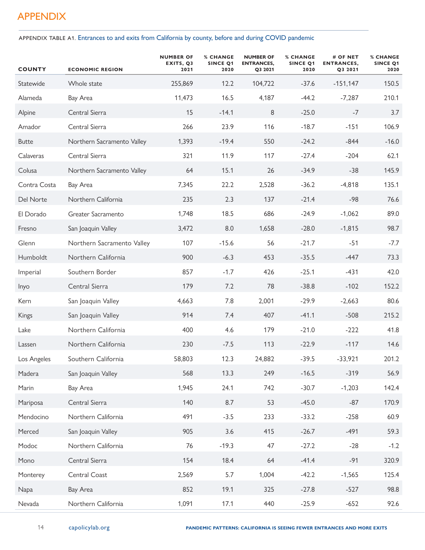# APPENDIX

APPENDIX TABLE A1. Entrances to and exits from California by county, before and during COVID pandemic

| <b>COUNTY</b> | <b>ECONOMIC REGION</b>     | <b>NUMBER OF</b><br>EXITS, Q3<br>2021 | <b>% CHANGE</b><br>SINCE Q1<br>2020 | <b>NUMBER OF</b><br><b>ENTRANCES,</b><br>Q3 2021 | <b>% CHANGE</b><br><b>SINCE Q1</b><br>2020 | # OF NET<br><b>ENTRANCES,</b><br>Q3 2021 | <b>% CHANGE</b><br><b>SINCE Q1</b><br>2020 |
|---------------|----------------------------|---------------------------------------|-------------------------------------|--------------------------------------------------|--------------------------------------------|------------------------------------------|--------------------------------------------|
| Statewide     | Whole state                | 255,869                               | 12.2                                | 104,722                                          | $-37.6$                                    | $-151,147$                               | 150.5                                      |
| Alameda       | Bay Area                   | 11,473                                | 16.5                                | 4,187                                            | $-44.2$                                    | $-7,287$                                 | 210.1                                      |
| Alpine        | Central Sierra             | 15                                    | $-14.1$                             | 8                                                | $-25.0$                                    | $-7$                                     | 3.7                                        |
| Amador        | Central Sierra             | 266                                   | 23.9                                | 116                                              | $-18.7$                                    | $-151$                                   | 106.9                                      |
| <b>Butte</b>  | Northern Sacramento Valley | 1,393                                 | $-19.4$                             | 550                                              | $-24.2$                                    | $-844$                                   | $-16.0$                                    |
| Calaveras     | Central Sierra             | 321                                   | 11.9                                | 117                                              | $-27.4$                                    | $-204$                                   | 62.1                                       |
| Colusa        | Northern Sacramento Valley | 64                                    | 15.1                                | 26                                               | $-34.9$                                    | $-38$                                    | 145.9                                      |
| Contra Costa  | Bay Area                   | 7,345                                 | 22.2                                | 2,528                                            | $-36.2$                                    | $-4,818$                                 | 135.1                                      |
| Del Norte     | Northern California        | 235                                   | 2.3                                 | 137                                              | $-21.4$                                    | $-98$                                    | 76.6                                       |
| El Dorado     | Greater Sacramento         | 1,748                                 | 18.5                                | 686                                              | $-24.9$                                    | $-1,062$                                 | 89.0                                       |
| Fresno        | San Joaquin Valley         | 3,472                                 | 8.0                                 | 1,658                                            | $-28.0$                                    | $-1,815$                                 | 98.7                                       |
| Glenn         | Northern Sacramento Valley | 107                                   | $-15.6$                             | 56                                               | $-21.7$                                    | $-51$                                    | $-7.7$                                     |
| Humboldt      | Northern California        | 900                                   | $-6.3$                              | 453                                              | $-35.5$                                    | $-447$                                   | 73.3                                       |
| Imperial      | Southern Border            | 857                                   | $-1.7$                              | 426                                              | $-25.1$                                    | $-431$                                   | 42.0                                       |
| Inyo          | Central Sierra             | 179                                   | 7.2                                 | 78                                               | $-38.8$                                    | $-102$                                   | 152.2                                      |
| Kern          | San Joaquin Valley         | 4,663                                 | 7.8                                 | 2,001                                            | $-29.9$                                    | $-2,663$                                 | 80.6                                       |
| Kings         | San Joaquin Valley         | 914                                   | 7.4                                 | 407                                              | $-41.1$                                    | $-508$                                   | 215.2                                      |
| Lake          | Northern California        | 400                                   | 4.6                                 | 179                                              | $-21.0$                                    | $-222$                                   | 41.8                                       |
| Lassen        | Northern California        | 230                                   | $-7.5$                              | 113                                              | $-22.9$                                    | $-117$                                   | 14.6                                       |
| Los Angeles   | Southern California        | 58,803                                | 12.3                                | 24,882                                           | $-39.5$                                    | $-33,921$                                | 201.2                                      |
| Madera        | San Joaquin Valley         | 568                                   | 13.3                                | 249                                              | $-16.5$                                    | $-319$                                   | 56.9                                       |
| Marin         | Bay Area                   | 1,945                                 | 24.1                                | 742                                              | $-30.7$                                    | $-1,203$                                 | 142.4                                      |
| Mariposa      | Central Sierra             | 140                                   | 8.7                                 | 53                                               | $-45.0$                                    | $-87$                                    | 170.9                                      |
| Mendocino     | Northern California        | 491                                   | $-3.5$                              | 233                                              | $-33.2$                                    | $-258$                                   | 60.9                                       |
| Merced        | San Joaquin Valley         | 905                                   | 3.6                                 | 415                                              | $-26.7$                                    | $-491$                                   | 59.3                                       |
| Modoc         | Northern California        | 76                                    | $-19.3$                             | 47                                               | $-27.2$                                    | $-28$                                    | $-1.2$                                     |
| Mono          | Central Sierra             | 154                                   | 18.4                                | 64                                               | $-41.4$                                    | $-91$                                    | 320.9                                      |
| Monterey      | Central Coast              | 2,569                                 | 5.7                                 | 1,004                                            | $-42.2$                                    | $-1,565$                                 | 125.4                                      |
| Napa          | Bay Area                   | 852                                   | 19.1                                | 325                                              | $-27.8$                                    | $-527$                                   | 98.8                                       |
| Nevada        | Northern California        | 1,091                                 | 17.1                                | 440                                              | $-25.9$                                    | $-652$                                   | 92.6                                       |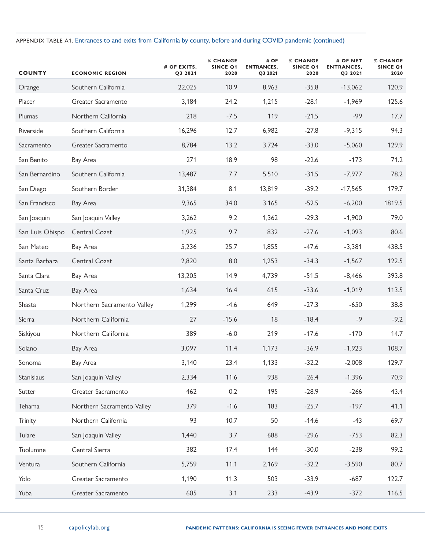### APPENDIX TABLE A1. Entrances to and exits from California by county, before and during COVID pandemic (continued)

| <b>COUNTY</b>   | <b>ECONOMIC REGION</b>     | # OF EXITS,<br>Q3 2021 | <b>% CHANGE</b><br>SINCE Q1<br>2020 | # OF<br><b>ENTRANCES,</b><br>Q3 2021 | <b>% CHANGE</b><br><b>SINCE Q1</b><br>2020 | # OF NET<br><b>ENTRANCES,</b><br>Q3 2021 | <b>% CHANGE</b><br><b>SINCE Q1</b><br>2020 |
|-----------------|----------------------------|------------------------|-------------------------------------|--------------------------------------|--------------------------------------------|------------------------------------------|--------------------------------------------|
| Orange          | Southern California        | 22,025                 | 10.9                                | 8,963                                | $-35.8$                                    | $-13,062$                                | 120.9                                      |
| Placer          | Greater Sacramento         | 3,184                  | 24.2                                | 1,215                                | $-28.1$                                    | $-1,969$                                 | 125.6                                      |
| Plumas          | Northern California        | 218                    | $-7.5$                              | 119                                  | $-21.5$                                    | $-99$                                    | 17.7                                       |
| Riverside       | Southern California        | 16,296                 | 12.7                                | 6,982                                | $-27.8$                                    | $-9,315$                                 | 94.3                                       |
| Sacramento      | Greater Sacramento         | 8,784                  | 13.2                                | 3,724                                | $-33.0$                                    | $-5,060$                                 | 129.9                                      |
| San Benito      | Bay Area                   | 271                    | 18.9                                | 98                                   | $-22.6$                                    | $-173$                                   | 71.2                                       |
| San Bernardino  | Southern California        | 13,487                 | 7.7                                 | 5,510                                | $-31.5$                                    | $-7,977$                                 | 78.2                                       |
| San Diego       | Southern Border            | 31,384                 | 8.1                                 | 13,819                               | $-39.2$                                    | $-17,565$                                | 179.7                                      |
| San Francisco   | Bay Area                   | 9,365                  | 34.0                                | 3,165                                | $-52.5$                                    | $-6,200$                                 | 1819.5                                     |
| San Joaquin     | San Joaquin Valley         | 3,262                  | 9.2                                 | 1,362                                | $-29.3$                                    | $-1,900$                                 | 79.0                                       |
| San Luis Obispo | Central Coast              | 1,925                  | 9.7                                 | 832                                  | $-27.6$                                    | $-1,093$                                 | 80.6                                       |
| San Mateo       | Bay Area                   | 5,236                  | 25.7                                | 1,855                                | $-47.6$                                    | $-3,381$                                 | 438.5                                      |
| Santa Barbara   | Central Coast              | 2,820                  | 8.0                                 | 1,253                                | $-34.3$                                    | $-1,567$                                 | 122.5                                      |
| Santa Clara     | Bay Area                   | 13,205                 | 14.9                                | 4,739                                | $-51.5$                                    | $-8,466$                                 | 393.8                                      |
| Santa Cruz      | Bay Area                   | 1,634                  | 16.4                                | 615                                  | $-33.6$                                    | $-1,019$                                 | 113.5                                      |
| Shasta          | Northern Sacramento Valley | 1,299                  | $-4.6$                              | 649                                  | $-27.3$                                    | $-650$                                   | 38.8                                       |
| Sierra          | Northern California        | 27                     | $-15.6$                             | 18                                   | $-18.4$                                    | $-9$                                     | $-9.2$                                     |
| Siskiyou        | Northern California        | 389                    | $-6.0$                              | 219                                  | $-17.6$                                    | $-170$                                   | 14.7                                       |
| Solano          | Bay Area                   | 3,097                  | 11.4                                | 1,173                                | $-36.9$                                    | $-1,923$                                 | 108.7                                      |
| Sonoma          | Bay Area                   | 3,140                  | 23.4                                | 1,133                                | $-32.2$                                    | $-2,008$                                 | 129.7                                      |
| Stanislaus      | San Joaquin Valley         | 2,334                  | 11.6                                | 938                                  | $-26.4$                                    | $-1,396$                                 | 70.9                                       |
| Sutter          | Greater Sacramento         | 462                    | 0.2                                 | 195                                  | $-28.9$                                    | $-266$                                   | 43.4                                       |
| Tehama          | Northern Sacramento Valley | 379                    | $-1.6$                              | 183                                  | $-25.7$                                    | $-197$                                   | 41.1                                       |
| Trinity         | Northern California        | 93                     | 10.7                                | 50                                   | $-14.6$                                    | $-43$                                    | 69.7                                       |
| Tulare          | San Joaquin Valley         | 1,440                  | 3.7                                 | 688                                  | $-29.6$                                    | $-753$                                   | 82.3                                       |
| Tuolumne        | Central Sierra             | 382                    | 17.4                                | 144                                  | $-30.0$                                    | $-238$                                   | 99.2                                       |
| Ventura         | Southern California        | 5,759                  | 11.1                                | 2,169                                | $-32.2$                                    | $-3,590$                                 | 80.7                                       |
| Yolo            | Greater Sacramento         | 1,190                  | 11.3                                | 503                                  | $-33.9$                                    | $-687$                                   | 122.7                                      |
| Yuba            | Greater Sacramento         | 605                    | 3.1                                 | 233                                  | $-43.9$                                    | $-372$                                   | 116.5                                      |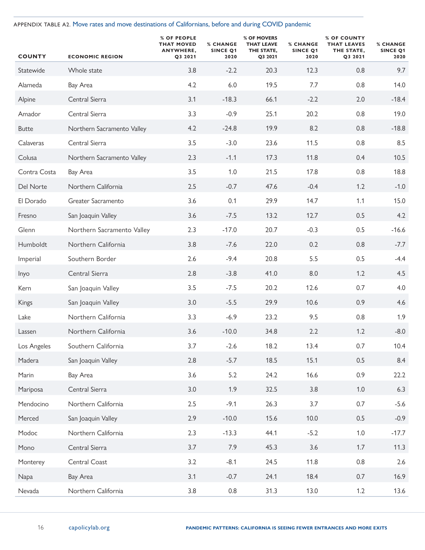APPENDIX TABLE A2. Move rates and move destinations of Californians, before and during COVID pandemic

| <b>COUNTY</b> | <b>ECONOMIC REGION</b>     | % OF PEOPLE<br><b>THAT MOVED</b><br>ANYWHERE,<br>Q3 2021 | <b>% CHANGE</b><br><b>SINCE Q1</b><br>2020 | % OF MOVERS<br><b>THAT LEAVE</b><br>THE STATE,<br>Q3 2021 | <b>% CHANGE</b><br>SINCE Q1<br>2020 | % OF COUNTY<br><b>THAT LEAVES</b><br>THE STATE,<br>Q3 2021 | <b>% CHANGE</b><br><b>SINCE Q1</b><br>2020 |
|---------------|----------------------------|----------------------------------------------------------|--------------------------------------------|-----------------------------------------------------------|-------------------------------------|------------------------------------------------------------|--------------------------------------------|
| Statewide     | Whole state                | 3.8                                                      | $-2.2$                                     | 20.3                                                      | 12.3                                | 0.8                                                        | 9.7                                        |
| Alameda       | Bay Area                   | 4.2                                                      | 6.0                                        | 19.5                                                      | 7.7                                 | 0.8                                                        | 14.0                                       |
| Alpine        | Central Sierra             | 3.1                                                      | $-18.3$                                    | 66.1                                                      | $-2.2$                              | 2.0                                                        | $-18.4$                                    |
| Amador        | Central Sierra             | 3.3                                                      | $-0.9$                                     | 25.1                                                      | 20.2                                | 0.8                                                        | 19.0                                       |
| <b>Butte</b>  | Northern Sacramento Valley | 4.2                                                      | $-24.8$                                    | 19.9                                                      | 8.2                                 | 0.8                                                        | $-18.8$                                    |
| Calaveras     | Central Sierra             | 3.5                                                      | $-3.0$                                     | 23.6                                                      | 11.5                                | 0.8                                                        | 8.5                                        |
| Colusa        | Northern Sacramento Valley | 2.3                                                      | $-1.1$                                     | 17.3                                                      | 11.8                                | 0.4                                                        | 10.5                                       |
| Contra Costa  | Bay Area                   | 3.5                                                      | 1.0                                        | 21.5                                                      | 17.8                                | 0.8                                                        | 18.8                                       |
| Del Norte     | Northern California        | 2.5                                                      | $-0.7$                                     | 47.6                                                      | $-0.4$                              | 1.2                                                        | $-1.0$                                     |
| El Dorado     | Greater Sacramento         | 3.6                                                      | 0.1                                        | 29.9                                                      | 14.7                                | 1.1                                                        | 15.0                                       |
| Fresno        | San Joaquin Valley         | 3.6                                                      | $-7.5$                                     | 13.2                                                      | 12.7                                | 0.5                                                        | 4.2                                        |
| Glenn         | Northern Sacramento Valley | 2.3                                                      | $-17.0$                                    | 20.7                                                      | $-0.3$                              | 0.5                                                        | $-16.6$                                    |
| Humboldt      | Northern California        | 3.8                                                      | $-7.6$                                     | 22.0                                                      | 0.2                                 | 0.8                                                        | $-7.7$                                     |
| Imperial      | Southern Border            | 2.6                                                      | $-9.4$                                     | 20.8                                                      | 5.5                                 | 0.5                                                        | $-4.4$                                     |
| Inyo          | Central Sierra             | 2.8                                                      | $-3.8$                                     | 41.0                                                      | 8.0                                 | 1.2                                                        | 4.5                                        |
| Kern          | San Joaquin Valley         | 3.5                                                      | $-7.5$                                     | 20.2                                                      | 12.6                                | 0.7                                                        | 4.0                                        |
| Kings         | San Joaquin Valley         | 3.0                                                      | $-5.5$                                     | 29.9                                                      | 10.6                                | 0.9                                                        | 4.6                                        |
| Lake          | Northern California        | 3.3                                                      | $-6.9$                                     | 23.2                                                      | 9.5                                 | 0.8                                                        | 1.9                                        |
| Lassen        | Northern California        | 3.6                                                      | $-10.0$                                    | 34.8                                                      | 2.2                                 | 1.2                                                        | $-8.0$                                     |
| Los Angeles   | Southern California        | 3.7                                                      | $-2.6$                                     | 18.2                                                      | 13.4                                | 0.7                                                        | 10.4                                       |
| Madera        | San Joaquin Valley         | 2.8                                                      | $-5.7$                                     | 18.5                                                      | 15.1                                | 0.5                                                        | 8.4                                        |
| Marin         | Bay Area                   | 3.6                                                      | 5.2                                        | 24.2                                                      | 16.6                                | 0.9                                                        | 22.2                                       |
| Mariposa      | Central Sierra             | 3.0                                                      | 1.9                                        | 32.5                                                      | 3.8                                 | $1.0$                                                      | 6.3                                        |
| Mendocino     | Northern California        | 2.5                                                      | $-9.1$                                     | 26.3                                                      | 3.7                                 | 0.7                                                        | $-5.6$                                     |
| Merced        | San Joaquin Valley         | 2.9                                                      | $-10.0$                                    | 15.6                                                      | 10.0                                | 0.5                                                        | $-0.9$                                     |
| Modoc         | Northern California        | 2.3                                                      | $-13.3$                                    | 44.1                                                      | $-5.2$                              | $1.0\,$                                                    | $-17.7$                                    |
| Mono          | Central Sierra             | 3.7                                                      | 7.9                                        | 45.3                                                      | 3.6                                 | 1.7                                                        | 11.3                                       |
| Monterey      | Central Coast              | 3.2                                                      | $-8.1$                                     | 24.5                                                      | 11.8                                | 0.8                                                        | 2.6                                        |
| Napa          | Bay Area                   | 3.1                                                      | $-0.7$                                     | 24.1                                                      | 18.4                                | 0.7                                                        | 16.9                                       |
| Nevada        | Northern California        | 3.8                                                      | 0.8                                        | 31.3                                                      | 13.0                                | 1.2                                                        | 13.6                                       |